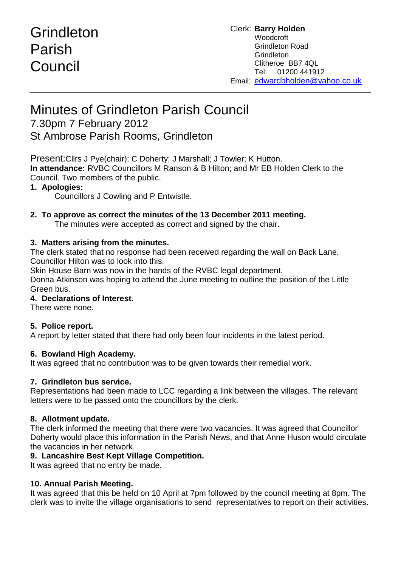# Grindleton Parish **Council**

# Minutes of Grindleton Parish Council

# 7.30pm 7 February 2012

St Ambrose Parish Rooms, Grindleton

Present:Cllrs J Pye(chair); C Doherty; J Marshall; J Towler; K Hutton. **In attendance:** RVBC Councillors M Ranson & B Hilton; and Mr EB Holden Clerk to the Council. Two members of the public.

# **1. Apologies:**

Councillors J Cowling and P Entwistle.

# **2. To approve as correct the minutes of the 13 December 2011 meeting.**

The minutes were accepted as correct and signed by the chair.

# **3. Matters arising from the minutes.**

The clerk stated that no response had been received regarding the wall on Back Lane. Councillor Hilton was to look into this.

Skin House Barn was now in the hands of the RVBC legal department.

Donna Atkinson was hoping to attend the June meeting to outline the position of the Little Green bus.

# **4. Declarations of Interest.**

There were none.

# **5. Police report.**

A report by letter stated that there had only been four incidents in the latest period.

# **6. Bowland High Academy.**

It was agreed that no contribution was to be given towards their remedial work.

# **7. Grindleton bus service.**

Representations had been made to LCC regarding a link between the villages. The relevant letters were to be passed onto the councillors by the clerk.

# **8. Allotment update.**

The clerk informed the meeting that there were two vacancies. It was agreed that Councillor Doherty would place this information in the Parish News, and that Anne Huson would circulate the vacancies in her network.

#### **9. Lancashire Best Kept Village Competition.**

It was agreed that no entry be made.

# **10. Annual Parish Meeting.**

It was agreed that this be held on 10 April at 7pm followed by the council meeting at 8pm. The clerk was to invite the village organisations to send representatives to report on their activities.